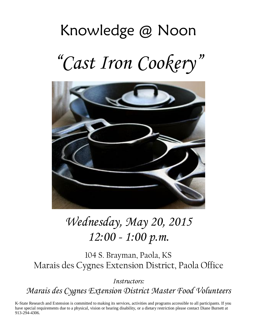# Knowledge @ Noon "*Cast Iron Cookery*"



# *Wednesday, May 20, 2015 12:00 - 1:00 p.m.*

104 S. Brayman, Paola, KS Marais des Cygnes Extension District, Paola Office

*Instructors:*

*Marais des Cygnes Extension District Master Food Volunteers*

K-State Research and Extension is committed to making its services, activities and programs accessible to all participants. If you have special requirements due to a physical, vision or hearing disability, or a dietary restriction please contact Diane Burnett at 913-294-4306.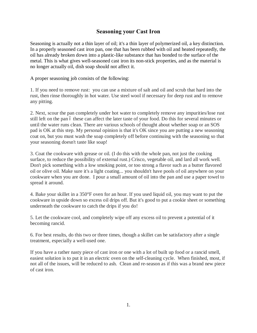## **Seasoning your Cast Iron**

Seasoning is actually not a thin layer of oil; it's a thin layer of polymerized oil, a key distinction. In a properly seasoned cast iron pan, one that has been rubbed with oil and heated repeatedly, the oil has already broken down into a plastic-like substance that has bonded to the surface of the metal. This is what gives well-seasoned cast iron its non-stick properties, and as the material is no longer actually oil, dish soap should not affect it.

A proper seasoning job consists of the following:

1. If you need to remove rust: you can use a mixture of salt and oil and scrub that hard into the rust, then rinse thoroughly in hot water. Use steel wool if necessary for deep rust and to remove any pitting.

2. Next, scour the pan completely under hot water to completely remove any impurities/lose rust still left on the pan 6 these can affect the later taste of your food. Do this for several minutes or until the water runs clean. There are various schools of thought about whether soap or an SOS pad is OK at this step. My personal opinion is that it's OK since you are putting a new seasoning coat on, but you must wash the soap completely off before continuing with the seasoning so that your seasoning doesn't taste like soap!

3. Coat the cookware with grease or oil. (I do this with the whole pan, not just the cooking surface, to reduce the possibility of external rust.) Crisco, vegetable oil, and lard all work well. Don't pick something with a low smoking point, or too strong a flavor such as a butter flavored oil or olive oil. Make sure it's a light coating... you shouldn't have pools of oil anywhere on your cookware when you are done. I pour a small amount of oil into the pan and use a paper towel to spread it around.

4. Bake your skillet in a 350°F oven for an hour. If you used liquid oil, you may want to put the cookware in upside down so excess oil drips off. But it's good to put a cookie sheet or something underneath the cookware to catch the drips if you do!

5. Let the cookware cool, and completely wipe off any excess oil to prevent a potential of it becoming rancid.

6. For best results, do this two or three times, though a skillet can be satisfactory after a single treatment, especially a well-used one.

If you have a rather nasty piece of cast iron or one with a lot of built up food or a rancid smell, easiest solution is to put it in an electric oven on the self-cleaning cycle. When finished, most, if not all of the issues, will be reduced to ash. Clean and re-season as if this was a brand new piece of cast iron.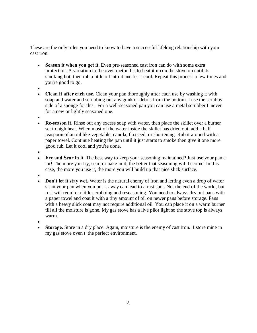These are the only rules you need to know to have a successful lifelong relationship with your cast iron.

- · **Season it when you get it.** Even pre-seasoned cast iron can do with some extra protection. A variation to the oven method is to heat it up on the stovetop until its smoking hot, then rub a little oil into it and let it cool. Repeat this process a few times and you're good to go.
- ·
- · **Clean it after each use.** Clean your pan thoroughly after each use by washing it with soap and water and scrubbing out any gunk or debris from the bottom. I use the scrubby side of a sponge for this. For a well-seasoned pan you can use a metal scrubber 6 never for a new or lightly seasoned one.
- ·
- · **Re-season it.** Rinse out any excess soap with water, then place the skillet over a burner set to high heat. When most of the water inside the skillet has dried out, add a half teaspoon of an oil like vegetable, canola, flaxseed, or shortening. Rub it around with a paper towel. Continue heating the pan until it just starts to smoke then give it one more good rub. Let it cool and you're done.
- ·
- · **Fry and Sear in it.** The best way to keep your seasoning maintained? Just use your pan a lot! The more you fry, sear, or bake in it, the better that seasoning will become. In this case, the more you use it, the more you will build up that nice slick surface.
- ·
- **Don't let it stay wet.** Water is the natural enemy of iron and letting even a drop of water sit in your pan when you put it away can lead to a rust spot. Not the end of the world, but rust will require a little scrubbing and reseasoning. You need to always dry out pans with a paper towel and coat it with a tiny amount of oil on newer pans before storage. Pans with a heavy slick coat may not require additional oil. You can place it on a warm burner till all the moisture is gone. My gas stove has a live pilot light so the stove top is always warm.
- ·
- **Storage.** Store in a dry place. Again, moisture is the enemy of cast iron. I store mine in my gas stove oven 6 the perfect environment.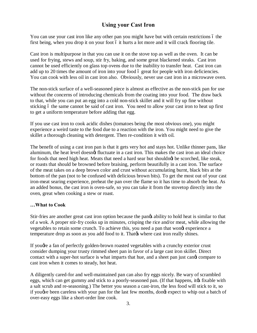# **Using your Cast Iron**

You can use your cast iron like any other pan you might have but with certain restrictions 6 the first being, when you drop it on your foot 6 it hurts a lot more and it will crack flooring tile.

Cast iron is multipurpose in that you can use it on the stove top as well as the oven. It can be used for frying, stews and soup, stir fry, baking, and some great blackened steaks. Cast iron cannot be used efficiently on glass top ovens due to the inability to transfer heat. Cast iron can add up to 20 times the amount of iron into your food 6 great for people with iron deficiencies. You can cook with less oil in cast iron also. Obviously, never use cast iron in a microwave oven.

The non-stick surface of a well-seasoned piece is almost as effective as the non-stick pan for use without the concerns of introducing chemicals from the coating into your food. The draw back to that, while you can put an egg into a cold non-stick skillet and it will fry up fine without sticking 6 the same cannot be said of cast iron. You need to allow your cast iron to heat up first to get a uniform temperature before adding that egg.

If you use cast iron to cook acidic dishes (tomatoes being the most obvious one), you might experience a weird taste to the food due to a reaction with the iron. You might need to give the skillet a thorough cleaning with detergent. Then re-condition it with oil.

The benefit of using a cast iron pan is that it gets very hot and stays hot. Unlike thinner pans, like aluminum, the heat level doesnot fluctuate in a cast iron. This makes the cast iron an ideal choice for foods that need high heat. Meats that need a hard sear but shouldng be scorched, like steak, or roasts that should be browned before braising, perform beautifully in a cast iron. The surface of the meat takes on a deep brown color and crust without accumulating burnt, black bits at the bottom of the pan (not to be confused with delicious brown bits). To get the most out of your cast iron-meat searing experience, preheat the pan over the flame so it has time to absorb the heat. As an added bonus, the cast iron is oven-safe, so you can take it from the stovetop directly into the oven, great when cooking a stew or roast.

#### **…What to Cook**

Stir-fries are another great cast iron option because the pange ability to hold heat is similar to that of a wok. A proper stir-fry cooks up in minutes, crisping the rice and/or meat, while allowing the vegetables to retain some crunch. To achieve this, you need a pan that wong experience a temperature drop as soon as you add food to it. That  $\alpha$  where cast iron really shines.

If you get a fan of perfectly golden-brown roasted vegetables with a crunchy exterior crust consider dumping your trusty rimmed sheet pan in favor of a large cast iron skillet. Direct contact with a super-hot surface is what imparts that hue, and a sheet pan just cand compare to cast iron when it comes to steady, hot heat.

A diligently cared-for and well-maintained pan can also fry eggs nicely. Be wary of scrambled eggs, which can get gummy and stick to a poorly-seasoned pan. (If that happens, it ts fixable with a salt scrub and re-seasoning.) The better you season a cast-iron, the less food will stick to it, so if you we been careless with your pan for the last few months, dongt expect to whip out a batch of over-easy eggs like a short-order line cook.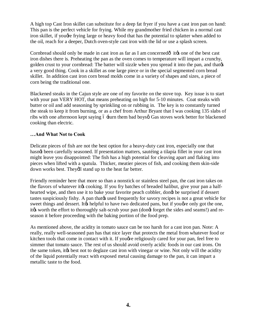A high top Cast Iron skillet can substitute for a deep fat fryer if you have a cast iron pan on hand: This pan is the perfect vehicle for frying. While my grandmother fried chicken in a normal cast iron skillet, if yougher frying large or heavy food that has the potential to splatter when added to the oil, reach for a deeper, Dutch oven-style cast iron with the lid or use a splash screen.

Cornbread should only be made in cast iron as far as I am concerned $\hat{0}$  it  $\hat{g}$  one of the best cast iron dishes there is. Preheating the pan as the oven comes to temperature will impart a crunchy, golden crust to your cornbread: The batter will sizzle when you spread it into the pan, and that  $\alpha$ a very good thing. Cook in a skillet as one large piece or in the special segmented corn bread skillet. In addition cast iron corn bread molds come in a variety of shapes and sizes, a piece of corn being the traditional one.

Blackened steaks in the Cajun style are one of my favorite on the stove top. Key issue is to start with your pan VERY HOT, that means preheating on high for 5-10 minutes. Coat steaks with butter or oil and add seasoning by sprinkling on or rubbing in. The key is to constantly turned the steak to keep it from burning, or as a chef from Arthur Bryant that I was cooking 135 slabs of ribs with one afternoon kept saying 6  $\pm$ urn them bad boys $\alpha$  Gas stoves work better for blackened cooking than electric.

#### **…And What Not to Cook**

Delicate pieces of fish are not the best option for a heavy-duty cast iron, especially one that hasnøt been carefully seasoned. If presentation matters, sautéing a tilapia fillet in your cast iron might leave you disappointed: The fish has a high potential for cleaving apart and flaking into pieces when lifted with a spatula. Thicker, meatier pieces of fish, and cooking them skin-side down works best. Theyell stand up to the heat far better.

Friendly reminder here that more so than a nonstick or stainless steel pan, the cast iron takes on the flavors of whatever it to cooking. If you fry batches of breaded halibut, give your pan a halfhearted wipe, and then use it to bake your favorite peach cobbler, dong be surprised if dessert tastes suspiciously fishy. A pan that the used frequently for savory recipes is not a great vehicle for sweet things and dessert. It the helpful to have two dedicated pans, but if you we only got the one, ites worth the effort to thoroughly salt-scrub your pan (dongt forget the sides and seams!) and reseason it before proceeding with the baking portion of the food prep.

As mentioned above, the acidity in tomato sauce can be too harsh for a cast iron pan. Note: A really, really well-seasoned pan has that nice layer that protects the metal from whatever food or kitchen tools that come in contact with it. If you we religiously cared for your pan, feel free to simmer that tomato sauce. The rest of us should avoid overly acidic foods in our cast irons. On the same token, it the sest not to deglaze cast iron with vinegar or wine. Not only will the acidity of the liquid potentially react with exposed metal causing damage to the pan, it can impart a metallic taste to the food.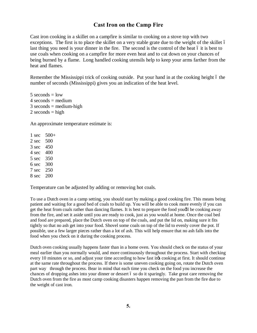### **Cast Iron on the Camp Fire**

Cast iron cooking in a skillet on a campfire is similar to cooking on a stove top with two exceptions. The first is to place the skillet on a very stable grate due to the weight of the skillet 6 last thing you need is your dinner in the fire. The second is the control of the heat 6 it is best to use coals when cooking on a campfire for more even heat and to cut down on your chances of being burned by a flame. Long handled cooking utensils help to keep your arms farther from the heat and flames.

Remember the Mississippi trick of cooking outside. Put your hand in at the cooking height 6 the number of seconds (Mississippi) gives you an indication of the heat level.

 seconds = low seconds = medium seconds = medium-high seconds = high

An approximate temperature estimate is:

 $1 \text{ sec} \quad 500+$ 2 sec 500 3 sec 450 4 sec 400 5 sec 350 6 sec 300 7 sec 250 8 sec 200

Temperature can be adjusted by adding or removing hot coals.

To use a Dutch oven in a camp setting, you should start by making a good cooking fire. This means being patient and waiting for a good bed of coals to build up. You will be able to cook more evenly if you can get the heat from coals rather than dancing flames. It is best to prepare the food you'll be cooking away from the fire, and set it aside until you are ready to cook, just as you would at home. Once the coal bed and food are prepared, place the Dutch oven on top of the coals, and put the lid on, making sure it fits tightly so that no ash get into your food. Shovel some coals on top of the lid to evenly cover the pot. If possible, use a few larger pieces rather than a lot of ash. This will help ensure that no ash falls into the food when you check on it during the cooking process.

Dutch oven cooking usually happens faster than in a home oven. You should check on the status of your meal earlier than you normally would, and more continuously throughout the process. Start with checking every 10 minutes or so, and adjust your time according to how fast it to cooking at first. It should continue at the same rate throughout the process. If there is some uneven cooking going on, rotate the Dutch oven part way through the process. Bear in mind that each time you check on the food you increase the chances of dropping ashes into your dinner or dessert 6 so do it sparingly. Take great care removing the Dutch oven from the fire as most camp cooking disasters happen removing the pan from the fire due to the weight of cast iron.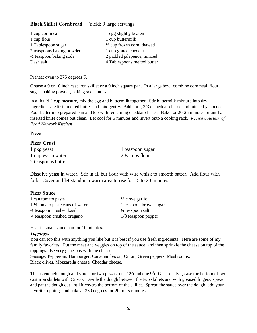#### **Black Skillet Cornbread** Yield: 9 large servings

| 1 cup cornmeal                     | 1 egg slightly beaten                 |
|------------------------------------|---------------------------------------|
| 1 cup flour                        | 1 cup buttermilk                      |
| 1 Tablespoon sugar                 | $\frac{1}{2}$ cup frozen corn, thawed |
| 2 teaspoons baking powder          | 1 cup grated cheddar                  |
| $\frac{1}{2}$ teaspoon baking soda | 2 pickled jalapenos, minced           |
| Dash salt                          | 4 Tablespoons melted butter           |

Preheat oven to 375 degrees F.

Grease a 9 or 10 inch cast iron skillet or a 9 inch square pan. In a large bowl combine cornmeal, flour, sugar, baking powder, baking soda and salt.

In a liquid 2 cup measure, mix the egg and buttermilk together. Stir buttermilk mixture into dry ingredients. Stir in melted butter and mix gently. Add corn, 2/3 c cheddar cheese and minced jalapenos. Pour batter into prepared pan and top with remaining cheddar cheese. Bake for 20-25 minutes or until an inserted knife comes out clean. Let cool for 5 minutes and invert onto a cooling rack. *Recipe courtesy of Food Network Kitchen*

#### **Pizza**

#### **Pizza Crust**

1 pkg yeast 1 teaspoon sugar 1 cup warm water  $2\frac{1}{2}$  cups flour 2 teaspoons butter

Dissolve yeast in water. Stir in all but flour with wire whisk to smooth batter. Add flour with fork. Cover and let stand in a warm area to rise for 15 to 20 minutes.

#### **Pizza Sauce**

1 can tomato paste  $\frac{1}{2}$  clove garlic 1 <sup>1</sup>/<sub>2</sub> tomato paste cans of water 1 teaspoon brown sugar  $\frac{1}{4}$  teaspoon crushed basil  $\frac{1}{4}$  teaspoon salt <sup>1/4</sup> teaspoon crushed oregano 1/8 teaspoon pepper

Heat in small sauce pan for 10 minutes.

#### *Toppings:*

You can top this with anything you like but it is best if you use fresh ingredients. Here are some of my family favorites. Put the meat and veggies on top of the sauce, and then sprinkle the cheese on top of the toppings. Be very generous with the cheese.

Sausage, Pepperoni, Hamburger, Canadian bacon, Onion, Green peppers, Mushrooms, Black olives, Mozzarella cheese, Cheddar cheese.

This is enough dough and sauce for two pizzas, one 12 $\ddot{o}$  and one 9 $\ddot{o}$ . Generously grease the bottom of two cast iron skillets with Crisco. Divide the dough between the two skillets and with greased fingers, spread and pat the dough out until it covers the bottom of the skillet. Spread the sauce over the dough, add your favorite toppings and bake at 350 degrees for 20 to 25 minutes.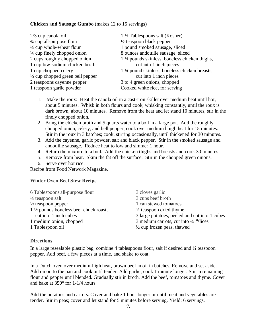#### **Chicken and Sausage Gumbo** (makes 12 to 15 servings)

| 2/3 cup canola oil                  | $1\frac{1}{2}$ Tablespoons salt (Kosher)      |
|-------------------------------------|-----------------------------------------------|
| 3/4 cup all-purpose flour           | $\frac{1}{2}$ teaspoon black pepper           |
| $\frac{1}{4}$ cup whole-wheat flour | 1 pound smoked sausage, sliced                |
| 1/4 cup finely chopped onion        | 8 ounces and ouille sausage, sliced           |
| 2 cups roughly chopped onion        | 1 ¼ pounds skinless, boneless chicken thighs, |
| 1 cup low-sodium chicken broth      | cut into 1-inch pieces                        |
| 1 cup chopped celery                | 1 ¼ pound skinless, boneless chicken breasts, |
| 1/2 cup chopped green bell pepper   | cut into 1 inch pieces                        |
| 2 teaspoons cayenne pepper          | 3 to 4 green onions, chopped                  |
| 1 teaspoon garlic powder            | Cooked white rice, for serving                |
|                                     |                                               |

- 1. Make the roux: Heat the canola oil in a cast-iron skillet over medium heat until hot, about 5 minutes. Whisk in both flours and cook, whisking constantly, until the roux is dark brown, about 10 minutes. Remove from the heat and let stand 10 minutes, stir in the finely chopped onion.
- 2. Bring the chicken broth and 5 quarts water to a boil in a large pot. Add the roughly chopped onion, celery, and bell pepper; cook over medium óhigh heat for 15 minutes. Stir in the roux in 3 batches; cook, stirring occasionally, until thickened for 30 minutes.
- 3. Add the cayenne, garlic powder, salt and black pepper. Stir in the smoked sausage and andouille sausage. Reduce heat to low and simmer 1 hour.
- 4. Return the mixture to a boil. Add the chicken thighs and breasts and cook 30 minutes.
- 5. Remove from heat. Skim the fat off the surface. Stir in the chopped green onions.
- 6. Serve over hot rice.

Recipe from Food Network Magazine.

#### **Winter Oven Beef Stew Recipe**

| 6 Tablespoons all-purpose flour                  | 3 cloves garlic                                  |
|--------------------------------------------------|--------------------------------------------------|
| 1/4 teaspoon salt                                | 3 cups beef broth                                |
| $\frac{1}{2}$ teaspoon pepper                    | 1 can stewed tomatoes                            |
| $1\frac{1}{2}$ pounds boneless beef chuck roast, | 3⁄4 teaspoon dried thyme                         |
| cut into 1 inch cubes                            | 3 large potatoes, peeled and cut into 1 cubes    |
| 1 medium onion, chopped                          | 3 medium carrots, cut into $\frac{1}{4}$ oslices |
| 1 Tablespoon oil                                 | $\frac{1}{2}$ cup frozen peas, thawed            |
|                                                  |                                                  |

#### **Directions**

In a large resealable plastic bag, combine 4 tablespoons flour, salt if desired and ¼ teaspoon pepper. Add beef, a few pieces at a time, and shake to coat.

In a Dutch oven over medium-high heat, brown beef in oil in batches. Remove and set aside. Add onion to the pan and cook until tender. Add garlic; cook 1 minute longer. Stir in remaining flour and pepper until blended. Gradually stir in broth. Add the beef, tomatoes and thyme. Cover and bake at 350° for 1-1/4 hours.

Add the potatoes and carrots. Cover and bake 1 hour longer or until meat and vegetables are tender. Stir in peas; cover and let stand for 5 minutes before serving. Yield: 6 servings.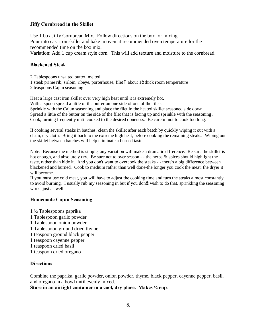#### **Jiffy Cornbread in the Skillet**

Use 1 box Jiffy Cornbread Mix. Follow directions on the box for mixing. Pour into cast iron skillet and bake in oven at recommended oven temperature for the recommended time on the box mix. Variation: Add 1 cup cream style corn. This will add texture and moisture to the cornbread.

#### **Blackened Steak**

2 Tablespoons unsalted butter, melted

- 1 steak prime rib, sirloin, ribeye, porterhouse, filet 6 about 10 thick room temperature
- 2 teaspoons Cajun seasoning

Heat a large cast iron skillet over very high heat until it is extremely hot. With a spoon spread a little of the butter on one side of one of the filets. Sprinkle with the Cajun seasoning and place the filet in the heated skillet seasoned side down Spread a little of the butter on the side of the filet that is facing up and sprinkle with the seasoning . Cook, turning frequently until cooked to the desired doneness. Be careful not to cook too long.

If cooking several steaks in batches, clean the skillet after each batch by quickly wiping it out with a clean, dry cloth. Bring it back to the extreme high heat, before cooking the remaining steaks. Wiping out the skillet between batches will help eliminate a burned taste.

Note: Because the method is simple, any variation will make a dramatic difference. Be sure the skillet is hot enough, and absolutely dry. Be sure not to over season - - the herbs & spices should highlight the taste, rather than hide it. And you don't want to overcook the steaks - - there's a big difference between blackened and burned. Cook to medium rather than well done-the longer you cook the meat, the dryer it will become.

If you must use cold meat, you will have to adjust the cooking time and turn the steaks almost constantly to avoid burning. I usually rub my seasoning in but if you dongt wish to do that, sprinkling the seasoning works just as well.

#### **Homemade Cajun Seasoning**

- 1 ½ Tablespoons paprika 1 Tablespoon garlic powder 1 Tablespoon onion powder 1 Tablespoon ground dried thyme 1 teaspoon ground black pepper 1 teaspoon cayenne pepper 1 teaspoon dried basil
- 
- 1 teaspoon dried oregano

#### **Directions**

Combine the paprika, garlic powder, onion powder, thyme, black pepper, cayenne pepper, basil, and oregano in a bowl until evenly mixed.

**Store in an airtight container in a cool, dry place. Makes ¼ cup**.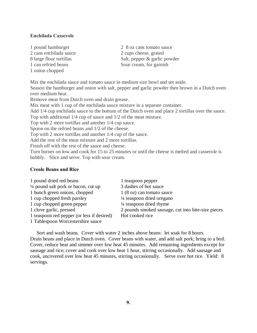#### **Enchilada Casserole**

- 2 cans enchilada sauce 2 cups cheese, grated 1 onion chopped
- 1 pound hamburger 2 8 oz cans tomato sauce 8 large flour tortillas Salt, pepper & garlic powder 1 can refried beans Sour cream, for garnish

Mix the enchilada sauce and tomato sauce in medium size bowl and set aside. Season the hamburger and onion with salt, pepper and garlic powder then brown in a Dutch oven over medium heat.

Remove meat from Dutch oven and drain grease.

Mix meat with 1 cup of the enchilada sauce mixture in a separate container.

Add 1/4 cup enchilada sauce to the bottom of the Dutch oven and place 2 tortillas over the sauce.

Top with additional 1/4 cup of sauce and 1/2 of the meat mixture.

Top with 2 more tortillas and another 1/4 cup sauce.

Spoon on the refried beans and 1/2 of the cheese.

Top with 2 more tortillas and another 1/4 cup of the sauce.

Add the rest of the meat mixture and 2 more tortillas.

Finish off with the rest of the sauce and cheese.

Turn burner on low and cook for 15 to 25 minutes or until the cheese is melted and casserole is bubbly. Slice and serve. Top with sour cream.

#### **Creole Beans and Rice**

| 1 pound dried red beans                        | 1 teaspoon pepper                                  |
|------------------------------------------------|----------------------------------------------------|
| $\frac{1}{4}$ pound salt pork or bacon, cut up | 3 dashes of hot sauce                              |
| 1 bunch green onions, chopped                  | 1 (8 oz) can tomato sauce                          |
| 1 cup chopped fresh parsley                    | 1/4 teaspoon dried oregano                         |
| 1 cup chopped green pepper                     | $\frac{1}{4}$ teaspoon dried thyme                 |
| 1 clove garlic, pressed                        | 2 pounds smoked sausage, cut into bite-size pieces |
| 1 teaspoon red pepper (or less if desired)     | Hot cooked rice                                    |
| 1 Tablespoon Worcestershire sauce              |                                                    |

 Sort and wash beans. Cover with water 2 inches above beans: let soak for 8 hours. Drain beans and place in Dutch oven. Cover beans with water, and add salt pork; bring to a boil. Cover, reduce heat and simmer over low heat 45 minutes. Add remaining ingredients except for sausage and rice; cover and cook over low heat 1 hour, stirring occasionally. Add sausage and cook, uncovered over low heat 45 minutes, stirring occasionally. Serve over hot rice. Yield: 8 servings.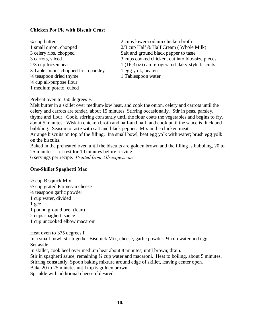#### **Chicken Pot Pie with Biscuit Crust**

| $\frac{1}{4}$ cup butter            |
|-------------------------------------|
| 1 small onion, chopped              |
| 3 celery ribs, chopped              |
| 3 carrots, sliced                   |
| 2/3 cup frozen peas                 |
| 3 Tablespoons chopped fresh parsley |
| 1/4 teaspoon dried thyme            |
| 1/4 cup all-purpose flour           |
| 1 medium potato, cubed              |

2 cups lower-sodium chicken broth  $2/3$  cup Half & Half Cream ( Whole Milk) Salt and ground black pepper to taste 3 cups cooked chicken, cut into bite-size pieces 1 (16.3 oz) can refrigerated flaky-style biscuits 1 egg yolk, beaten 1 Tablespoon water

Preheat oven to 350 degrees F.

Melt butter in a skillet over medium-low heat, and cook the onion, celery and carrots until the celery and carrots are tender, about 15 minutes. Stirring occasionally. Stir in peas, parsley, thyme and flour. Cook, stirring constantly until the flour coats the vegetables and begins to fry, about 5 minutes. Wisk in chicken broth and half-and half, and cook until the sauce is thick and bubbling. Season to taste with salt and black pepper. Mix in the chicken meat.

Arrange biscuits on top of the filling. Ina small bowl, beat egg yolk with water; brush egg yolk on the biscuits.

Baked in the preheated oven until the biscuits are golden brown and the filling is bubbling, 20 to 25 minutes. Let rest for 10 minutes before serving.

6 servings per recipe. *Printed from Allrecipes.com.*

#### **One-Skillet Spaghetti Mac**

½ cup Bisquick Mix ½ cup grated Parmesan cheese ¼ teaspoon garlic powder 1 cup water, divided 1 gee 1 pound ground beef (lean) 2 cups spaghetti sauce 1 cup uncooked elbow macaroni

Heat oven to 375 degrees F.

In a small bowl, stir together Bisquick Mix, cheese, garlic powder, ¼ cup water and egg. Set aside.

In skillet, cook beef over medium heat about 8 minutes, until brown; drain.

Stir in spaghetti sauce, remaining  $\frac{3}{4}$  cup water and macaroni. Heat to boiling, about 5 minutes, Stirring constantly. Spoon baking mixture around edge of skillet, leaving center open.

Bake 20 to 25 minutes until top is golden brown.

Sprinkle with additional cheese if desired.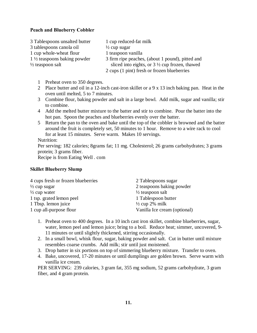#### **Peach and Blueberry Cobbler**

| 3 Tablespoons unsalted butter          | 1 cup reduced-fat milk                                   |
|----------------------------------------|----------------------------------------------------------|
| 3 tablespoons canola oil               | $\frac{1}{2}$ cup sugar                                  |
| 1 cup whole-wheat flour                | 1 teaspoon vanilla                                       |
| $1\frac{1}{2}$ teaspoons baking powder | 3 firm ripe peaches, (about 1 pound), pitted and         |
| $\frac{1}{2}$ teaspoon salt            | sliced into eights, or $3\frac{1}{2}$ cup frozen, thawed |
|                                        | 2 cups (1 pint) fresh or frozen blueberries              |

- 1 Preheat oven to 350 degrees.
- 2 Place butter and oil in a 12-inch cast-iron skillet or a 9 x 13 inch baking pan. Heat in the oven until melted, 5 to 7 minutes.
- 3 Combine flour, baking powder and salt in a large bowl. Add milk, sugar and vanilla; stir to combine.
- 4 Add the melted butter mixture to the batter and stir to combine. Pour the batter into the hot pan. Spoon the peaches and blueberries evenly over the batter.
- 5 Return the pan to the oven and bake until the top of the cobbler is browned and the batter around the fruit is completely set, 50 minutes to 1 hour. Remove to a wire rack to cool for at least 15 minutes. Serve warm. Makes 10 servings.

Nutrition:

Per serving: 182 calories; 8grams fat; 11 mg. Cholesterol; 26 grams carbohydrates; 3 grams protein; 3 grams fiber.

Recipe is from Eating Well . com

#### **Skillet Blueberry Slump**

| 2 Tablespoons sugar          |
|------------------------------|
| 2 teaspoons baking powder    |
| $\frac{1}{2}$ teaspoon salt  |
| 1 Tablespoon butter          |
| $\frac{1}{2}$ cup 2% milk    |
| Vanilla Ice cream (optional) |
|                              |

- 1. Preheat oven to 400 degrees. In a 10 inch cast iron skillet, combine blueberries, sugar, water, lemon peel and lemon juice; bring to a boil. Reduce heat; simmer, uncovered, 9- 11 minutes or until slightly thickened, stirring occasionally.
- 2. In a small bowl, whisk flour, sugar, baking powder and salt. Cut in butter until mixture resembles coarse crumbs. Add milk; stir until just moistened.
- 3. Drop batter in six portions on top of simmering blueberry mixture. Transfer to oven.
- 4. Bake, uncovered, 17-20 minutes or until dumplings are golden brown. Serve warm with vanilla ice cream.

PER SERVING: 239 calories, 3 gram fat, 355 mg sodium, 52 grams carbohydrate, 3 gram fiber, and 4 gram protein.